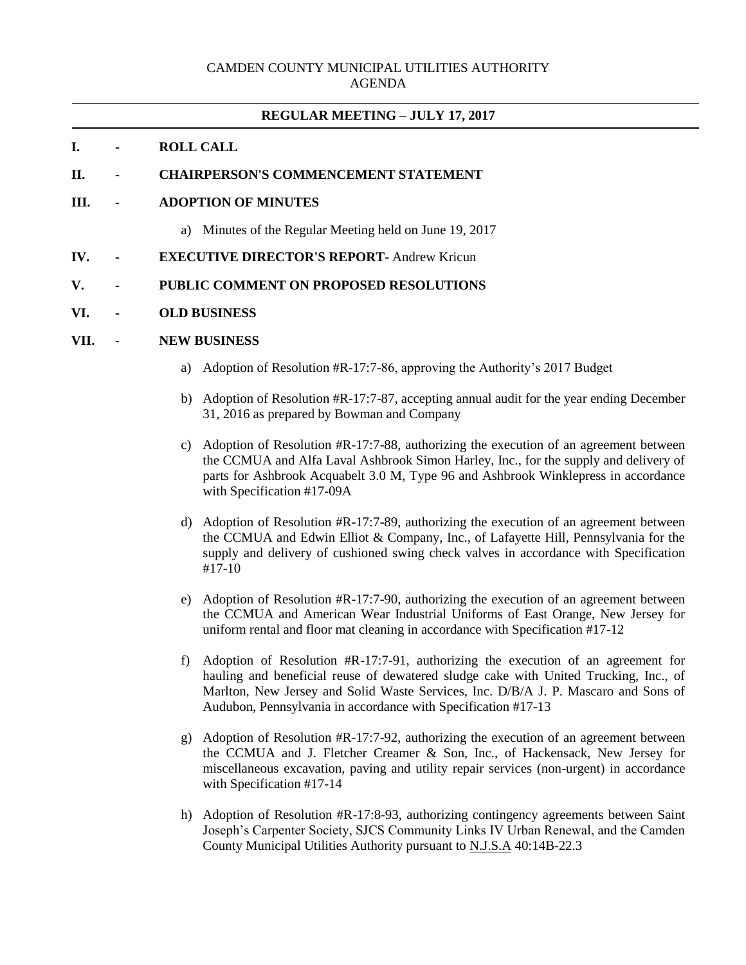## **REGULAR MEETING – JULY 17, 2017**

## **I. - ROLL CALL**

#### **II. - CHAIRPERSON'S COMMENCEMENT STATEMENT**

## **III. - ADOPTION OF MINUTES**

- a) Minutes of the Regular Meeting held on June 19, 2017
- **IV. - EXECUTIVE DIRECTOR'S REPORT** Andrew Kricun

## **V. - PUBLIC COMMENT ON PROPOSED RESOLUTIONS**

### **VI. - OLD BUSINESS**

#### **VII. - NEW BUSINESS**

- a) Adoption of Resolution #R-17:7-86, approving the Authority's 2017 Budget
- b) Adoption of Resolution #R-17:7-87, accepting annual audit for the year ending December 31, 2016 as prepared by Bowman and Company
- c) Adoption of Resolution #R-17:7-88, authorizing the execution of an agreement between the CCMUA and Alfa Laval Ashbrook Simon Harley, Inc., for the supply and delivery of parts for Ashbrook Acquabelt 3.0 M, Type 96 and Ashbrook Winklepress in accordance with Specification #17-09A
- d) Adoption of Resolution #R-17:7-89, authorizing the execution of an agreement between the CCMUA and Edwin Elliot & Company, Inc., of Lafayette Hill, Pennsylvania for the supply and delivery of cushioned swing check valves in accordance with Specification #17-10
- e) Adoption of Resolution #R-17:7-90, authorizing the execution of an agreement between the CCMUA and American Wear Industrial Uniforms of East Orange, New Jersey for uniform rental and floor mat cleaning in accordance with Specification #17-12
- f) Adoption of Resolution #R-17:7-91, authorizing the execution of an agreement for hauling and beneficial reuse of dewatered sludge cake with United Trucking, Inc., of Marlton, New Jersey and Solid Waste Services, Inc. D/B/A J. P. Mascaro and Sons of Audubon, Pennsylvania in accordance with Specification #17-13
- g) Adoption of Resolution #R-17:7-92, authorizing the execution of an agreement between the CCMUA and J. Fletcher Creamer & Son, Inc., of Hackensack, New Jersey for miscellaneous excavation, paving and utility repair services (non-urgent) in accordance with Specification #17-14
- h) Adoption of Resolution #R-17:8-93, authorizing contingency agreements between Saint Joseph's Carpenter Society, SJCS Community Links IV Urban Renewal, and the Camden County Municipal Utilities Authority pursuant to N.J.S.A 40:14B-22.3